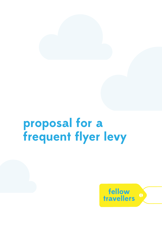# **proposal for a frequent flyer levy**

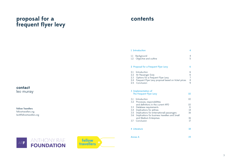## **proposal for a frequent flyer levy**

**contact**

leo murray

Fellow Travellers fellowtravellers.org

leo@fellowtravellers.org

## **contents**

#### 1 [Introduction](#page-2-0) 4

- 1.1 [Background](#page-2-0)
- 1.2 [Objective and outline](#page-2-0)

#### 2 [Proposal for a Frequent Flyer Levy](#page-3-0)

- 2.1 [Introduction](#page-3-0)
- 2.2 [Air Passenger Duty](#page-3-0)
- 2.3 [Options for a Frequent Flyer Levy](#page-3-0)
- 2.4 Frequent Flyer Levy proposal based or
- 2.5 [Conclusion](#page-4-0)

#### 3 [Implementation of](#page-5-0)  [The Frequent Flyer Levy](#page-5-0)

- 3.1 [Introduction](#page-5-0)
- 3.2 [Processes, responsibilities](#page-5-0)  and definitions in the current APD
- 3.3 [Database requirements](#page-5-0)
- 3.4 [Implications for airlines](#page-7-0)
- 3.5 Implications for (international) passeng
- 3.6 Implications for business travellers and and Medium Enterprises
- 3.7 [Conclusion](#page-8-0)

#### 4 [Literature](#page-9-0)

#### Annex A

ANTHONY RAE<br>FOUNDATION ARF



|                 | 4                             |
|-----------------|-------------------------------|
|                 | $\overline{\mathcal{A}}$<br>5 |
|                 | 6                             |
| n ticket prices | 66789                         |
|                 | 10                            |
|                 | 10                            |
| gers<br>d Small | 10<br>11<br>14<br>16          |
|                 | 16<br>17                      |
|                 | 18                            |
|                 | 19                            |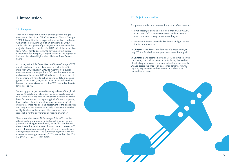#### 1.2 Objective and outline

This paper considers the potential for a fiscal reform that can:

- Limit passenger demand to no more than 60% by 2050 in line with CCC's recommendations, and remove the need for a new runway in south-east England;
- Incentivise a more equitable distribution of flights across the income spectrum.

In **Chapter 2** we discuss the features of a Frequent Flyer Levy (FFL), a fiscal reform designed to achieve these goals.

In **Chapter 3** we describe how a FFL could be implemented, considering practical implementation including the method of collecting tax revenues and data collection requirements. We also assess the impact on passenger demand, runway capacity requirements and socio-economic distribution of demand for air travel.



### <span id="page-2-0"></span>**1 introduction**

#### 1.1 Background

Aviation was responsible for 6% of total greenhouse gas emissions in the UK in 2011 (Committee on Climate Change, 2013). This contribution is expected to more than quadruple, with aviation producing 25% of UK emissions by 2050. A relatively small group of passengers is responsible for the majority of aviation emissions. In 2013 15% of the population took 70% of flights, according to government estimates, (Department for Transport, 2014) while 55% of the population took no international flights at all. (National Travel Survey, 2014).

According to the UK's Committee on Climate Change (CCC), growth in demand for aviation must be limited to 60% more than 2005 levels in 2050 to meet the UK's overall emissions reduction target. The CCC says this means aviation emissions will remain at 2005 levels, while other sectors of the economy will have to cut emissions by 85%. If demand growth is not limited, targets for other sectors will need to be even more ambitious, which the CCC concludes there is limited scope for.

Increasing passenger demand is a major driver of the global warming impacts of aviation, but has been largely ignored in discussions around how to limit aviation emissions. Efforts have focused instead on improving fuel efficiency, exploring lower-carbon biofuels, and other marginal technological substitutes. There has been no assessment of the possibilities for using fiscal instruments to actively constrain the number of flights taken by the frequent flyers who are most responsible for the environmental impacts of aviation.

The current structure of Air Passenger Duty (APD) can be rationalized on environmental and social grounds. Longer journeys are charged more heavily, as are first and business class tickets that require more physical space. However, APD does not provide an escalating incentive to reduce demand amongst frequent flyers. The current tax regime will see an increase in passenger demand of 127%, rather than the 60% the CCC recommends (DFT, 2013).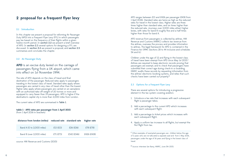APD ranges between £13 and £426 per passenger (£438 from 1 April 2016). Standard rates are twice as high as the reduced rates for travel in the lowest class. Higher rates are three times higher than standard rates, and six times higher than the reduced rate. Journeys over 2,000 miles attract higher levies, with rates for band B roughly five and a half times higher than those for band A.

APD revenue from passengers is collected by airlines. HM Revenue and Customs (HMRC) collects tax revenue from the airlines, oversees the process and provides information to airlines. The legal framework for APD is contained in the Finance Act 1994. (Sections 28 to 44 inclusive and schedules 5A and 6.)

- 1. Introduce a tax rate that increases with each subsequent flight a passenger takes;
- 2. Add a percentage to the current APD which increases with each subsequent flight;
- 3. Add a percentage to ticket prices which increases with each subsequent flight;
- 4. Apply a uniform tax increase to all flights, but exempt the first flight from tax.

Children under the age of 12 and flying in the lowest class of travel have been exempt from APD since May 1st 2015. **1** Airlines are required to keep electronic records proving that passengers are exempt, and to check that passengers have submitted their correct age during check-in or boarding. HMRC audits these records by requesting information from the airlines' electronic booking systems, and relies that such checks have been carried out properly. **2**

#### 2.3 Options for a Frequent Flyer Levy

There are several options for introducing a progressive element in the tax system covering aviation:

**APD** is an excise duty levied on the carriage of passengers flying from a UK airport, which came into effect on 1st November 1994.

## <span id="page-3-0"></span>**2 proposal for a frequent flyer levy**

#### 2.1 Introduction

In this chapter we present a proposal for reforming Air Passenger Duty (APD) into a Frequent Flyer Levy (FFL) in which passengers pay tax based on the frequency of their flights within a given twelve month period. In section 2.2 we present a brief overview of APD. In section 2.3 several options for designing a FFL are discussed. In section 2.4 we present a proposal, and section 2.5 summarises and concludes the chapter.

#### 2.2 Air Passenger Duty

The rate of APD depends on the class of travel and final destination of the passenger. Reduced rates apply to passengers traveling in the lowest class of travel. Standard rates apply where passengers are carried in any class of travel other than the lowest. Higher rates apply where passengers are carried on an aeroplane with an authorised take off weight of 20 tonnes or more and equipped to carry fewer than 19 passengers. APD is higher if the destination's capital city is more than 2,000 miles from London.

The current rates of APD are summarised in **Table 1**.

#### **table 1 - APD rates per passenger from 1 April 2015**

(from 1 April 2016 in brackets)

| distance from london (miles) |           | reduced rate standard rate | higher rate |
|------------------------------|-----------|----------------------------|-------------|
| Band A (O to 2,000 miles)    | £13 (£13) | £26(E26)                   | £78 (£78)   |
| Band B (over 2,000 miles)    | £71 (£73) | £142 (£146)                | £426 (£438) |

source: HM Revenue and Customs (2015)

**<sup>1</sup>** Other examples of exempted passengers are children below the age of 2 years who are not allocated a separate seat and from 1 May 2016, passengers under the age of 16 years and flying in the lowest class of travel.

**<sup>2</sup>** Source: interview Ian Barry, HMRC, June 5th 2015.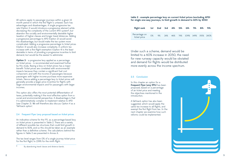|  |  | <b>Interat ficket prices (excluding APD)</b> |
|--|--|----------------------------------------------|
|  |  | wth in demand to 60% by 2050                 |



Under such a scheme, demand would be limited to a 60% increase in 2050, the need for new runway capacity would be obviated and demand for flights would be distributed more evenly across the income spectrum.

#### 2.5 Conclusion

In this chapter an option for a **Frequent Flyer Levy (FFL)** has been proposed, based on a percentage of air ticket price and meeting the objectives mentioned in the introduction.

A fall-back option has also been suggested, which would apply the same tax increase to all flights, and exempt the first flight from tax. In the next chapter we examine how such reforms could be implemented.

**Option 3** – a progressive levy applied as a percentage on ticket prices - is recommended and examined further by this study. Basing a levy on ticket prices has a major benefit: Ticket prices are correlated with environmental impacts because they contain a significant fuel cost component, and with the income of passengers because passengers with higher income purchase more expensive tickets. Hence adding a percentage levy to ticket prices will generally provide a larger price incentive for flights with larger environmental impacts and for passengers with larger incomes.

<span id="page-4-0"></span>All options apply to passenger journeys within a given 12 month period in which the first flight is untaxed. Each has advantages and disadvantages. A single progressive tax rate (Option 1) would introduce a progressive element while decreasing the complexity of the current APD system **3** , but abandon the socially and environmentally desirable higher taxation of higher classes and longer travel distances. Adding a progressive percentage to APD (Option 2) would avoid this disadvantage, but would make the tax system more complicated. Adding a progressive percentage to ticket prices (Option 3) would also increase complexity. A uniform tax increase with a first flight exemption (Option 4) is the least desirable in terms of providing a progressive incentive to limit demand, but would be the easiest to administer.

This option also offers the most potential differentiation of taxes, potentially making it the most effective option from a social and environmental perspective. A disadvantage is that it is administratively complex to implement relative to APD (see Chapter 3). We will therefore also discuss Option 4 as a 'fall-back option'.

#### 2.4 Frequent Flyer Levy proposal based on ticket prices

An indicative scheme for the FFL as a percentage-based levy on ticket prices is presented in Table 2. There are a variety of different possible tax structures that could limit growth in demand to 60%, and so this should be taken as an example rather than a definitive scheme. The calculations behind the figures in Table 2 are presented in Annex A.

The tax level ranges from 0% of a single journey ticket price for the first flight, to 239% for the ninth flight.

**<sup>3</sup>** By abandoning travel classes and distance bands.

#### table 2 - example percentage levy on cu for single one-way journeys, to limit grow

| flight rank 1st 2nd 3rd 4th 5th |       |  |  | 6th a                              | 7th | 8 <sub>th</sub> | 9th |
|---------------------------------|-------|--|--|------------------------------------|-----|-----------------|-----|
| Percentage on<br>ticket price   | $O\%$ |  |  | 9% 24% 46% 74% 109% 149% 193% 240% |     |                 |     |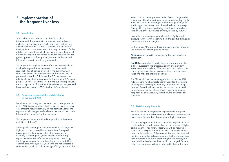lowest class of travel, persons carried free of charge under a statutory obligation and passengers on connecting flights. From 1st May 2016, passengers under the age of 16 years and flying in the lowest class of travel will also be exempt. Chargeable flights are fixed wing aircraft with an authorised take off weight of 5.7 tonnes or more, fuelled by Avtur.

Exemptions are emergency/public service flights, short pleasure flights, flights departing from the Scottish Highlands and Islands and NATO flights.

In the current APD system there are two important players in the process of collecting tax revenues:

**Airlines** are responsible for collecting tax revenues from passengers;

**HMRC** is responsible for collecting tax revenues from the airlines, overseeing the process, auditing and providing information to the airlines. If airlines have not declared tax correctly there may be an assessment for under-declared taxes and they are liable to penalties.

The FFL would use the same registration process as APD. Airlines operating chargeable aircraft used for the carriage of chargeable passengers from any UK airport, including Northern Ireland, will register for the tax and be required to provide notification of changes in registration details, keep records and accounts, submit returns and make tax payments.

#### 3.3 Database requirements

Because the FFL is progressive, implementation requires gathering additional information to make sure passengers are taxed correctly based on the number of flights they take.

The most straightforward way to meet this requirement is to create a database with information on the number of flights each passenger has taken. Passengers will be required to submit their passport numbers to airline companies before they purchase a ticket. Airline companies send the passport number to a central database operator that provides airlines with information on the number of flights the passenger has taken and the level of tax they should be charged. Once a ticket has been sold, airlines send a notification to the oper -

### <span id="page-5-0"></span>**3 implementation of the frequent flyer levy**

#### 3.1 Introduction

In this chapter we examine how the FFL could be implemented. Implementation should ensure the levy is collected by a logical and reliable body, seek to keep any administrative burden as low as possible, and ensure that immigrants and businesses are not unduly burdened. Further, reliable data must be available for tax purposes, there must be minimal opportunities for tax fraud, the requirements for gathering new data from passengers must be limited and information security must be guaranteed.

We propose that implementation of the FFL should adhere as closely as possible to the current processes and responsibilities of parties involved in the current APD. A short overview of the administration of the current APD is presented in section 3.2. In section 3.3, we present the additional steps that are required for transforming APD into a progressive FFL. In section 3.4, 3.5 and 3.6 we respectively discuss implications for airlines, international passengers, and business travellers and SME's. Section 3.7 concludes.

#### 3.2 Processes, responsibilities and definitions in the current APD

By adhering as closely as possible to the current processes of the APD, implementation of a FFL can be made the most cost-efficient, require relatively limited administrational and organisational changes, and make optimal use of the current infrastructure for collecting tax revenues.

We propose to adhere as closely as possible to the current definitions of the APD:

A chargeable passenger is anyone carried on a chargeable flight who is not covered by an exemption. Exempted passengers are flight crew, cabin attendants, persons escorting a passenger or goods, persons undertaking repair, maintenance, safety or security work or ensuring the hygienic preparation and handling of food and drink, children below the age of 2 years who are not allocated a separate seat, children below the age of 12 years and in the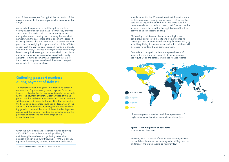already submit to HMRC market sensitive information such as flight coupons, passenger numbers and certificates. This data will be required to audit the FFL and make sure that taxes are collected properly, so having HMRC administer the scheme removes the need for sharing this data with a third party to enable successful auditing.

Passports and passport numbers are replaced every 10 years in the UK, and more frequently in some countries – see Figure  $1 -$  so the database will need to keep records



Maintaining a database on the number of flights taken could prove complicated. UK citizens are not obliged to have a passport or identity card, and may fly domestically by submitting driving licence numbers, and so the database will also need to contain driving licence numbers.

of previous passport numbers and their replacements. This might prove complicated for international passengers.

#### **figure 1 - validity period of passports**  source: timatic database

However, even if a record of international passengers were not available, the number of passengers benefiting from this limitation of the system would be relatively low.

ator of the database, confirming that the submission of the passport number by the passenger resulted in a payment and a flight.

An important requirement is that the system is able to verify passport numbers and make sure that they are valid and current. This audit could be carried out by airlines during check-in or boarding, by comparing the submitted numbers with the passenger's official document - passport or driving licence. This procedure would be similar to current procedures for verifying the age exemptions of the APD (see section 2.2). The verification of passport numbers is already common practice, as airlines are obliged under many foreign laws to verify that passengers have submitted correct travel documents, and airlines can receive penalties by foreign authorities if travel documents are incorrect. **4** In case of fraud, airline companies could send the correct passport numbers to the central database.

### **Gathering passport numbers during payment of tickets?**

An alternative option is to gather information on passport numbers and flight frequency during payment for airline tickets. This implies that the tax would be collected separate ly after the payment of tickets. Disadvantages of this ap proach are that additional transactions and transaction costs will be required. Because the tax would not be included in the ticket price, passengers could also be less aware of the tax costs in their purchase, reducing the tax incentive limit ing growth in demand. Because of these disadvantages we recommend that passport numbers are collected before the purchase of tickets and not at the stage of the actual transaction.

Given the current roles and responsibilities for collecting APD, HMRC seems to be the most logical body for maintaining the database and gathering information on passport numbers and flight frequencies. HMRC is already equipped for managing sensitive information, and airlines

**<sup>4</sup>** Source: Interview Ian Barry, HMRC, June 5th 2015.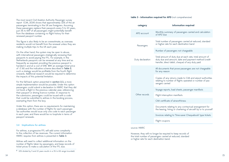However, they will no longer be required to keep records of the total number of passengers carried at reduced, standard or higher rate for each destination band.

<span id="page-7-0"></span>The most recent Civil Aviation Authority Passenger survey report (CAA, 2014) shows that approximately 32% of the air passengers terminating in the UK are foreigners. Assuming these passengers replace their passports every 5 to 10 years, just 3% to 6% **<sup>5</sup>** of all passengers might potentially benefit from the database containing no flight history for their renewed passport number.

This figure is also likely to be an overestimate, as overseas residents would not benefit from the renewal unless they are making multiple trips to the UK each year.

On the other hand, the system may be open to abuse, with international passengers strategically renewing their passports to avoid paying the FFL. For example, in the Netherlands passports can be renewed at any time and as frequently as required, providing the previous passport is handed in and at a cost of £48. With an average ticket price of £ 161 and the indicative scheme described in Table 2, such a strategy would be profitable from the fourth flight onwards. Additional research would be required to determine the impacts of this potential limitation.

For the fall-back option presented in section 2.3, a more simple implementation would be possible. Under this option passengers could submit a declaration to HMRC that they did not book a flight in the previous calendar year, referencing their passport or driving licence number. In response to the submission, passengers could be issued with a code that could be submitted to airlines in the booking process, exempting them from the levy.

rns made to CAA and airport authorities relating to number of flights operated or number of pas -

d sheets, passenger manifests

manifests

airworthiness

 $\sigma$  to any contractual arrangement for or chartering of aircraft by or to yourself

'Time-saver Chequebook' type tickets

Under this option, there are no requirements for maintaining a database with the number of flights for each passenger. Tax authorities would issue only one code to each passenger in each year, and there would be no loophole in terms of passport renewals.

#### 3.4 Implications for airlines

For airlines, a progressive FFL will add some complexity to the collection of tax revenues. The current information HMRC requires from airlines is presented in Table 3:

Airlines will need to collect additional information on the number of flights taken by passengers, and keep records of ticket prices to make a calculation of the FFL due.

#### **table 3 - information required for APD** (not comprehensive)

#### **category information required**

of passengers carried and calculation

ssengers carried at reduced, standard ach destination band

gers not chargeable

Ity due at each rate, total amount of unt, date and payment method (credit it, cheque) of any duty paid

prove passengers are not chargeable

| category         | in                                                               |  |  |
|------------------|------------------------------------------------------------------|--|--|
| APD account      | Monthly summary<br>of APD due                                    |  |  |
| Passengers       | Total number of pa<br>or higher rate for e                       |  |  |
|                  | Number of passeng                                                |  |  |
| Duty declaration | Total amount of du<br>duty due and amor<br>transfer, direct debi |  |  |
|                  | All documents that<br>for any reason                             |  |  |
|                  | Copies of any retui<br>relating to number<br>sengers carried     |  |  |
|                  | Voyage reports, loa                                              |  |  |
| Other records    | Flight interruption r                                            |  |  |
|                  | CAA certificate of a                                             |  |  |
|                  | Documents relating<br>the leasing, hiring o                      |  |  |
|                  | Invoices relating to                                             |  |  |
|                  | Flight coupons                                                   |  |  |
|                  |                                                                  |  |  |

source: HMRC

**<sup>5</sup>** 32% divided by 5 and 10 years results in a 3% to 6% range (rounded).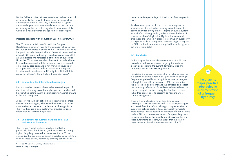deduct a certain percentage of ticket prices from corporation taxes.

An alternative option might be to introduce a system in which companies instead of passengers are taken as the central entity for levying business flights. In such a system, instead of calculating the levy individually on the basis of a single employee's flights, the flights of the company's employees are summed in order to determine an overall levy. This system could be designed to minimise negative impacts on SMEs, but further research is required for exploring such options in more detail.

#### 3.7 Conclusion

In this chapter the practical implementation of a FFL has been discussed. We recommend aligning the system as closely as possible to the current definitions, roles and responsibilities for administering the APD.

For adding a progressive element, the key change required is a central database to record passport numbers and flight frequencies, preferably including international passengers, although it is not strictly necessary. HMRC seems to be the most logical body to manage the database and collect the necessary information. In addition, airlines will need to capture passport numbers during the ticket sale process rather than simply prior to boarding as happens under current arrangements.

There will be implications for airlines, international passengers, business travellers and SMEs. Most passengers will benefit from the reform, while good implementation and supporting policies could mitigate any negative impacts. More detailed work is needed on treatment of business travel under a FFL, and on compliance with European Regulation on common rules for the operation of air services. Beyond these outstanding questions, we judge that there are no major practical obstacles to implementation of a FFL.

<span id="page-8-0"></span>For the fall-back option, airlines would need to keep a record of documents that prove that passengers have submitted a declaration to HMRC that they did not book a flight in the calendar year. As airlines already have to keep records of passengers that are not chargeable for any reason, this would be a relatively small change to the current regime.

#### **Possible conflicts with Regulation (EC) No 1008/2008**

The FFL may potentially conflict with the European Regulation on common rules for the operation of air services (EC 2008). This states in article 23 that "air fares available to the public include the applicable air fare or air rate as well as all applicable taxes, and charges, surcharges and fees which are unavoidable and foreseeable at the time of publication." Under the FFL, airlines would not be able to include all taxes in advertisements, as the total amount of tax is calculated on a case-by-case basis and is not known in advance of ticket purchase. A more in-depth assessment is required to determine to what extent a FFL might conflict with this regulation, although it is unlikely to be a major issue. **6**

#### 3.5 Implications for (international) passengers

Passport numbers currently have to be provided as part of check in, but a progressive tax implies passport numbers will be submitted before buying a ticket, requiring a small change in the purchase process.

In case of the fall-back option the process would be more complex for passengers, who would be required to submit a declaration and enter a code before purchasing a ticket. This would require a clear system that provides sufficient information to facilitate the process.

#### 3.6 Implications for business travellers and Small and Medium Enterprises

The FFL may impact business travellers and SME's, particularly those that have no good alternatives to taking flights. Recycling increased tax revenues from a FFL to companies that are disproportionally impacted could mitigate some of these effects, perhaps by allowing candidates to

there are **no major practical obstacles** to implementation of a **frequent flyer levy**

**<sup>6</sup>** Source: M. Sistermans. Policy officer aviation Dutch Ministry of Transport.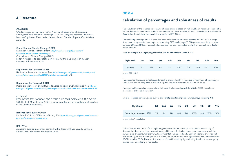#### **ANNEX A**

The calculation of the required percentages of ticket prices is based on NEF (2014). An indicative scheme of a FFL has been calculated in this study to limit demand to a 60% increase in 2050. The scheme is presented in Table 4. For the details of this calculation we refer to NEF (2014).

## **calculation of percentages and robustness of results**

The required percentage of ticket price has been calculated based on this scheme. In DFT (2013) average ticket prices are presented, coming to approximately £160 excluding APD. This price remains fairly constant between 2015 and 2050. The required percentage has been calculated by dividing the numbers in Table 4 by this amount.

The presented figures are indicative, and meant to provide insight in the order of magnitude of percentages. They should not be interpreted as definitive figures. The most important reasons to not do so:

There are multiple possible combinations that could limit demand growth to 60% in 2050; the scheme presented is only one such option.

Public experiences of and attitudes towards air travel: 2014. Retrieved from [https://](https://www.gov.uk/government/statistics/public-experiences-of-and-attitudes-towards-air-travel-2014) [www.gov.uk/government/statistics/public-experiences-of-and-attitudes-towards-air-travel-2014](https://www.gov.uk/government/statistics/public-experiences-of-and-attitudes-towards-air-travel-2014)

> Calculations in NEF (2014) of the single progressive tax rate are based on assumptions on elasticity of demand that depend on flight rank and household income. Indicative figures have been used which the authors state are somewhat arbitrary. If no differentiation is applied and a uniform elasticity of demand of -0.6 for all flights and income groups is assumed, the results do not differ significantly: demand increases by 57.4% instead of 59.7%. However, the absence of specific elasticity figures for flight rank and income group creates some uncertainty in the results.

### <span id="page-9-0"></span>**4 literature**

#### CAA (2014)

CAA Passenger Survey Report 2013. A survey of passengers at Aberdeen, Birmingham, East Midlands, Edinburgh, Gatwick, Glasgow, Heathrow, Inverness, London City, Luton, Manchester, Newcastle and Stansted Airports. Civil Aviation Authority.

#### Committee on Climate Change (2013)

Factsheet: Aviation. Retrieved from [http://www.theccc.org.uk/wp-content/](http://www.theccc.org.uk/wp-content/uploads/2013/04/Aviation-factsheet.pdf) [uploads/2013/04/Aviation-factsheet.pdf](http://www.theccc.org.uk/wp-content/uploads/2013/04/Aviation-factsheet.pdf) Committee on Climate Change (2015). Letter in response to consultation on increasing the UK's long-term aviation capacity. 3rd February 2015

#### Department for Transport (2013)

UK Aviation Forecasts. Retrieved from [https://www.gov.uk/government/uploads/system/](https://www.gov.uk/government/uploads/system/uploads/attachment_data/file/223839/aviation-forecasts.pdf) [uploads/attachment\\_data/file/223839/aviation-forecasts.pdf](https://www.gov.uk/government/uploads/system/uploads/attachment_data/file/223839/aviation-forecasts.pdf), p66

#### Department for Transport (2014)

#### EC (2008)

REGULATION (EC) No 1008/2008 OF THE EUROPEAN PARLIAMENT AND OF THE COUNCIL of 24 September 2008 on common rules for the operation of air services in the Community (Recast).

#### National Travel Survey (2014)

Published:30 July 2013Updated:29 July 2014 [https://www.gov.uk/government/statistical](https://www.gov.uk/government/statistical-data-sets/nts03-modal-comparisons)[data-sets/nts03-modal-comparisons](https://www.gov.uk/government/statistical-data-sets/nts03-modal-comparisons)

#### NEF (2014)

Managing aviation passenger demand with a Frequent Flyer Levy. S. Devlin, S. Bernick, New Economics Foundation, 2014.

#### **table 4 - example of a single progressive tax rate to limit demand under 60% (£)**

| flight rank 1st 2nd 3rd 4th |    |     |                                                                                                                |     | 5th  | 6th a | 7th  | 8th  | 9th  |
|-----------------------------|----|-----|----------------------------------------------------------------------------------------------------------------|-----|------|-------|------|------|------|
| Tax rate                    | £O | £14 | £39 and the set of the set of the set of the set of the set of the set of the set of the set of the set of the | £74 | £119 | £174  | £239 | £309 | £384 |

source: NEF (2014)

#### **table 5 - required percentages on current one ticket prices for single one-way journeys excluding APD**

| flight rank                                           | 1st | 2nd 3rd | 4th | 5th 5 | 6th a | 7th | 8th    | 9th  |
|-------------------------------------------------------|-----|---------|-----|-------|-------|-----|--------|------|
| Percentage on current APD 0% 9% 24% 46% 74% 109% 149% |     |         |     |       |       |     | - 193% | 240% |

source: author's calculation